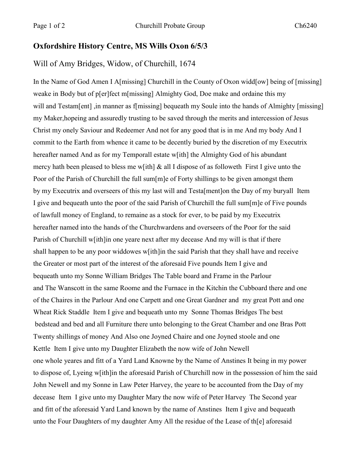## **Oxfordshire History Centre, MS Wills Oxon 6/5/3**

## Will of Amy Bridges, Widow, of Churchill, 1674

In the Name of God Amen I A[missing] Churchill in the County of Oxon widd[ow] being of [missing] weake in Body but of p[er]fect m[missing] Almighty God, Doe make and ordaine this my will and Testam[ent], in manner as f[missing] bequeath my Soule into the hands of Almighty [missing] my Maker,hopeing and assuredly trusting to be saved through the merits and intercession of Jesus Christ my onely Saviour and Redeemer And not for any good that is in me And my body And I commit to the Earth from whence it came to be decently buried by the discretion of my Executrix hereafter named And as for my Temporall estate w[ith] the Almighty God of his abundant mercy hath been pleased to bless me w[ith] & all I dispose of as followeth First I give unto the Poor of the Parish of Churchill the full sum [m] e of Forty shillings to be given amongst them by my Executrix and overseers of this my last will and Testa[ment]on the Day of my buryall Item I give and bequeath unto the poor of the said Parish of Churchill the full sum[m]e of Five pounds of lawfull money of England, to remaine as a stock for ever, to be paid by my Executrix hereafter named into the hands of the Churchwardens and overseers of the Poor for the said Parish of Churchill w[ith]in one yeare next after my decease And my will is that if there shall happen to be any poor widdowes w[ith]in the said Parish that they shall have and receive the Greater or most part of the interest of the aforesaid Five pounds Item I give and bequeath unto my Sonne William Bridges The Table board and Frame in the Parlour and The Wanscott in the same Roome and the Furnace in the Kitchin the Cubboard there and one of the Chaires in the Parlour And one Carpett and one Great Gardner and my great Pott and one Wheat Rick Staddle Item I give and bequeath unto my Sonne Thomas Bridges The best bedstead and bed and all Furniture there unto belonging to the Great Chamber and one Bras Pott Twenty shillings of money And Also one Joyned Chaire and one Joyned stoole and one Kettle Item I give unto my Daughter Elizabeth the now wife of John Newell one whole yeares and fitt of a Yard Land Knowne by the Name of Anstines It being in my power to dispose of, Lyeing w[ith]in the aforesaid Parish of Churchill now in the possession of him the said John Newell and my Sonne in Law Peter Harvey, the yeare to be accounted from the Day of my decease Item I give unto my Daughter Mary the now wife of Peter Harvey The Second year and fitt of the aforesaid Yard Land known by the name of Anstines Item I give and bequeath unto the Four Daughters of my daughter Amy All the residue of the Lease of th[e] aforesaid